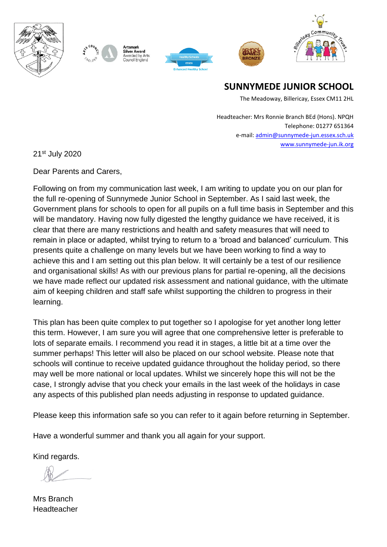



Silver Award Awarded by Arts Council England







**SUNNYMEDE JUNIOR SCHOOL**

The Meadoway, Billericay, Essex CM11 2HL

Headteacher: Mrs Ronnie Branch BEd (Hons). NPQH Telephone: 01277 651364 e-mail[: admin@sunnymede-jun.essex.sch.uk](mailto:admin@sunnymede-jun.essex.sch.uk) [www.sunnymede-jun.ik.org](http://www.sunnymede-jun.ik.org/)

21st July 2020

Dear Parents and Carers,

Following on from my communication last week, I am writing to update you on our plan for the full re-opening of Sunnymede Junior School in September. As I said last week, the Government plans for schools to open for all pupils on a full time basis in September and this will be mandatory. Having now fully digested the lengthy guidance we have received, it is clear that there are many restrictions and health and safety measures that will need to remain in place or adapted, whilst trying to return to a 'broad and balanced' curriculum. This presents quite a challenge on many levels but we have been working to find a way to achieve this and I am setting out this plan below. It will certainly be a test of our resilience and organisational skills! As with our previous plans for partial re-opening, all the decisions we have made reflect our updated risk assessment and national guidance, with the ultimate aim of keeping children and staff safe whilst supporting the children to progress in their learning.

This plan has been quite complex to put together so I apologise for yet another long letter this term. However, I am sure you will agree that one comprehensive letter is preferable to lots of separate emails. I recommend you read it in stages, a little bit at a time over the summer perhaps! This letter will also be placed on our school website. Please note that schools will continue to receive updated guidance throughout the holiday period, so there may well be more national or local updates. Whilst we sincerely hope this will not be the case, I strongly advise that you check your emails in the last week of the holidays in case any aspects of this published plan needs adjusting in response to updated guidance.

Please keep this information safe so you can refer to it again before returning in September.

Have a wonderful summer and thank you all again for your support.

Kind regards.

Mrs Branch Headteacher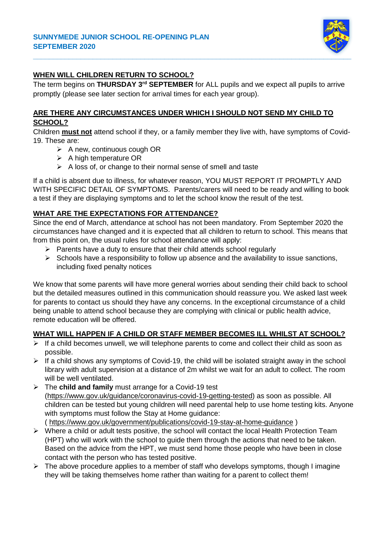

## **WHEN WILL CHILDREN RETURN TO SCHOOL?**

The term begins on **THURSDAY 3rd SEPTEMBER** for ALL pupils and we expect all pupils to arrive promptly (please see later section for arrival times for each year group).

### **ARE THERE ANY CIRCUMSTANCES UNDER WHICH I SHOULD NOT SEND MY CHILD TO SCHOOL?**

Children **must not** attend school if they, or a family member they live with, have symptoms of Covid-19. These are:

- $\triangleright$  A new, continuous cough OR
- $\triangleright$  A high temperature OR
- $\triangleright$  A loss of, or change to their normal sense of smell and taste

If a child is absent due to illness, for whatever reason, YOU MUST REPORT IT PROMPTLY AND WITH SPECIFIC DETAIL OF SYMPTOMS. Parents/carers will need to be ready and willing to book a test if they are displaying symptoms and to let the school know the result of the test.

## **WHAT ARE THE EXPECTATIONS FOR ATTENDANCE?**

Since the end of March, attendance at school has not been mandatory. From September 2020 the circumstances have changed and it is expected that all children to return to school. This means that from this point on, the usual rules for school attendance will apply:

- $\triangleright$  Parents have a duty to ensure that their child attends school regularly
- $\triangleright$  Schools have a responsibility to follow up absence and the availability to issue sanctions, including fixed penalty notices

We know that some parents will have more general worries about sending their child back to school but the detailed measures outlined in this communication should reassure you. We asked last week for parents to contact us should they have any concerns. In the exceptional circumstance of a child being unable to attend school because they are complying with clinical or public health advice, remote education will be offered.

## **WHAT WILL HAPPEN IF A CHILD OR STAFF MEMBER BECOMES ILL WHILST AT SCHOOL?**

- $\triangleright$  If a child becomes unwell, we will telephone parents to come and collect their child as soon as possible.
- $\triangleright$  If a child shows any symptoms of Covid-19, the child will be isolated straight away in the school library with adult supervision at a distance of 2m whilst we wait for an adult to collect. The room will be well ventilated.
- The **child and family** must arrange for a Covid-19 test [\(https://www.gov.uk/guidance/coronavirus-covid-19-getting-tested\)](https://www.gov.uk/guidance/coronavirus-covid-19-getting-tested) as soon as possible. All children can be tested but young children will need parental help to use home testing kits. Anyone with symptoms must follow the Stay at Home guidance: (<https://www.gov.uk/government/publications/covid-19-stay-at-home-guidance> )
- $\triangleright$  Where a child or adult tests positive, the school will contact the local Health Protection Team (HPT) who will work with the school to guide them through the actions that need to be taken. Based on the advice from the HPT, we must send home those people who have been in close contact with the person who has tested positive.
- $\triangleright$  The above procedure applies to a member of staff who develops symptoms, though I imagine they will be taking themselves home rather than waiting for a parent to collect them!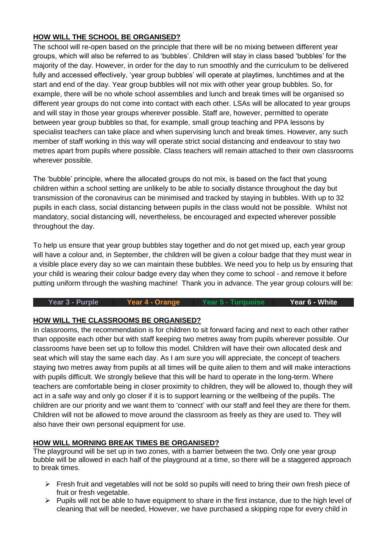### **HOW WILL THE SCHOOL BE ORGANISED?**

The school will re-open based on the principle that there will be no mixing between different year groups, which will also be referred to as 'bubbles'. Children will stay in class based 'bubbles' for the majority of the day. However, in order for the day to run smoothly and the curriculum to be delivered fully and accessed effectively, 'year group bubbles' will operate at playtimes, lunchtimes and at the start and end of the day. Year group bubbles will not mix with other year group bubbles. So, for example, there will be no whole school assemblies and lunch and break times will be organised so different year groups do not come into contact with each other. LSAs will be allocated to year groups and will stay in those year groups wherever possible. Staff are, however, permitted to operate between year group bubbles so that, for example, small group teaching and PPA lessons by specialist teachers can take place and when supervising lunch and break times. However, any such member of staff working in this way will operate strict social distancing and endeavour to stay two metres apart from pupils where possible. Class teachers will remain attached to their own classrooms wherever possible.

The 'bubble' principle, where the allocated groups do not mix, is based on the fact that young children within a school setting are unlikely to be able to socially distance throughout the day but transmission of the coronavirus can be minimised and tracked by staying in bubbles. With up to 32 pupils in each class, social distancing between pupils in the class would not be possible. Whilst not mandatory, social distancing will, nevertheless, be encouraged and expected wherever possible throughout the day.

To help us ensure that year group bubbles stay together and do not get mixed up, each year group will have a colour and, in September, the children will be given a colour badge that they must wear in a visible place every day so we can maintain these bubbles. We need you to help us by ensuring that your child is wearing their colour badge every day when they come to school - and remove it before putting uniform through the washing machine! Thank you in advance. The year group colours will be:

#### **Year 3 - Purple Year 4 - Orange Year 5 - Turquoise Year 6 - White**

### **HOW WILL THE CLASSROOMS BE ORGANISED?**

In classrooms, the recommendation is for children to sit forward facing and next to each other rather than opposite each other but with staff keeping two metres away from pupils wherever possible. Our classrooms have been set up to follow this model. Children will have their own allocated desk and seat which will stay the same each day. As I am sure you will appreciate, the concept of teachers staying two metres away from pupils at all times will be quite alien to them and will make interactions with pupils difficult. We strongly believe that this will be hard to operate in the long-term. Where teachers are comfortable being in closer proximity to children, they will be allowed to, though they will act in a safe way and only go closer if it is to support learning or the wellbeing of the pupils. The children are our priority and we want them to 'connect' with our staff and feel they are there for them. Children will not be allowed to move around the classroom as freely as they are used to. They will also have their own personal equipment for use.

### **HOW WILL MORNING BREAK TIMES BE ORGANISED?**

The playground will be set up in two zones, with a barrier between the two. Only one year group bubble will be allowed in each half of the playground at a time, so there will be a staggered approach to break times.

- $\triangleright$  Fresh fruit and vegetables will not be sold so pupils will need to bring their own fresh piece of fruit or fresh vegetable.
- $\triangleright$  Pupils will not be able to have equipment to share in the first instance, due to the high level of cleaning that will be needed, However, we have purchased a skipping rope for every child in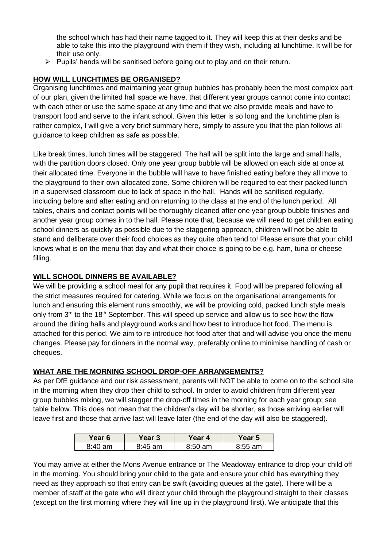the school which has had their name tagged to it. They will keep this at their desks and be able to take this into the playground with them if they wish, including at lunchtime. It will be for their use only.

 $\triangleright$  Pupils' hands will be sanitised before going out to play and on their return.

### **HOW WILL LUNCHTIMES BE ORGANISED?**

Organising lunchtimes and maintaining year group bubbles has probably been the most complex part of our plan, given the limited hall space we have, that different year groups cannot come into contact with each other or use the same space at any time and that we also provide meals and have to transport food and serve to the infant school. Given this letter is so long and the lunchtime plan is rather complex, I will give a very brief summary here, simply to assure you that the plan follows all guidance to keep children as safe as possible.

Like break times, lunch times will be staggered. The hall will be split into the large and small halls, with the partition doors closed. Only one year group bubble will be allowed on each side at once at their allocated time. Everyone in the bubble will have to have finished eating before they all move to the playground to their own allocated zone. Some children will be required to eat their packed lunch in a supervised classroom due to lack of space in the hall. Hands will be sanitised regularly, including before and after eating and on returning to the class at the end of the lunch period. All tables, chairs and contact points will be thoroughly cleaned after one year group bubble finishes and another year group comes in to the hall. Please note that, because we will need to get children eating school dinners as quickly as possible due to the staggering approach, children will not be able to stand and deliberate over their food choices as they quite often tend to! Please ensure that your child knows what is on the menu that day and what their choice is going to be e.g. ham, tuna or cheese filling.

### **WILL SCHOOL DINNERS BE AVAILABLE?**

We will be providing a school meal for any pupil that requires it. Food will be prepared following all the strict measures required for catering. While we focus on the organisational arrangements for lunch and ensuring this element runs smoothly, we will be providing cold, packed lunch style meals only from 3<sup>rd</sup> to the 18<sup>th</sup> September. This will speed up service and allow us to see how the flow around the dining halls and playground works and how best to introduce hot food. The menu is attached for this period. We aim to re-introduce hot food after that and will advise you once the menu changes. Please pay for dinners in the normal way, preferably online to minimise handling of cash or cheques.

### **WHAT ARE THE MORNING SCHOOL DROP-OFF ARRANGEMENTS?**

As per DfE guidance and our risk assessment, parents will NOT be able to come on to the school site in the morning when they drop their child to school. In order to avoid children from different year group bubbles mixing, we will stagger the drop-off times in the morning for each year group; see table below. This does not mean that the children's day will be shorter, as those arriving earlier will leave first and those that arrive last will leave later (the end of the day will also be staggered).

| Year 6    | Year 3      | Year 4     | Year 5    |
|-----------|-------------|------------|-----------|
| $8:40$ am | 8:45.<br>am | 8:50<br>am | $8:55$ am |

You may arrive at either the Mons Avenue entrance or The Meadoway entrance to drop your child off in the morning. You should bring your child to the gate and ensure your child has everything they need as they approach so that entry can be swift (avoiding queues at the gate). There will be a member of staff at the gate who will direct your child through the playground straight to their classes (except on the first morning where they will line up in the playground first). We anticipate that this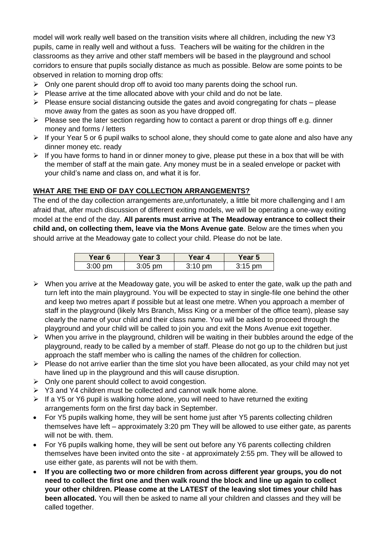model will work really well based on the transition visits where all children, including the new Y3 pupils, came in really well and without a fuss. Teachers will be waiting for the children in the classrooms as they arrive and other staff members will be based in the playground and school corridors to ensure that pupils socially distance as much as possible. Below are some points to be observed in relation to morning drop offs:

- $\triangleright$  Only one parent should drop off to avoid too many parents doing the school run.
- $\triangleright$  Please arrive at the time allocated above with your child and do not be late.
- $\triangleright$  Please ensure social distancing outside the gates and avoid congregating for chats please move away from the gates as soon as you have dropped off.
- $\triangleright$  Please see the later section regarding how to contact a parent or drop things off e.g. dinner money and forms / letters
- $\triangleright$  If your Year 5 or 6 pupil walks to school alone, they should come to gate alone and also have any dinner money etc. ready
- $\triangleright$  If you have forms to hand in or dinner money to give, please put these in a box that will be with the member of staff at the main gate. Any money must be in a sealed envelope or packet with your child's name and class on, and what it is for.

### **WHAT ARE THE END OF DAY COLLECTION ARRANGEMENTS?**

The end of the day collection arrangements are,unfortunately, a little bit more challenging and I am afraid that, after much discussion of different exiting models, we will be operating a one-way exiting model at the end of the day. **All parents must arrive at The Meadoway entrance to collect their child and, on collecting them, leave via the Mons Avenue gate**. Below are the times when you should arrive at the Meadoway gate to collect your child. Please do not be late.

| Year 6     | Year 3    | Year 4            | ∕ear 5    |
|------------|-----------|-------------------|-----------|
| 3:00<br>วm | $3:05$ pm | $3:10 \text{ pm}$ | $3:15$ pm |

- $\triangleright$  When you arrive at the Meadoway gate, you will be asked to enter the gate, walk up the path and turn left into the main playground. You will be expected to stay in single-file one behind the other and keep two metres apart if possible but at least one metre. When you approach a member of staff in the playground (likely Mrs Branch, Miss King or a member of the office team), please say clearly the name of your child and their class name. You will be asked to proceed through the playground and your child will be called to join you and exit the Mons Avenue exit together.
- $\triangleright$  When you arrive in the playground, children will be waiting in their bubbles around the edge of the playground, ready to be called by a member of staff. Please do not go up to the children but just approach the staff member who is calling the names of the children for collection.
- $\triangleright$  Please do not arrive earlier than the time slot you have been allocated, as your child may not yet have lined up in the playground and this will cause disruption.
- $\triangleright$  Only one parent should collect to avoid congestion.
- $\triangleright$  Y3 and Y4 children must be collected and cannot walk home alone.
- $\triangleright$  If a Y5 or Y6 pupil is walking home alone, you will need to have returned the exiting arrangements form on the first day back in September.
- For Y5 pupils walking home, they will be sent home just after Y5 parents collecting children themselves have left – approximately 3:20 pm They will be allowed to use either gate, as parents will not be with. them.
- For Y6 pupils walking home, they will be sent out before any Y6 parents collecting children themselves have been invited onto the site - at approximately 2:55 pm. They will be allowed to use either gate, as parents will not be with them.
- **If you are collecting two or more children from across different year groups, you do not need to collect the first one and then walk round the block and line up again to collect your other children. Please come at the LATEST of the leaving slot times your child has been allocated.** You will then be asked to name all your children and classes and they will be called together.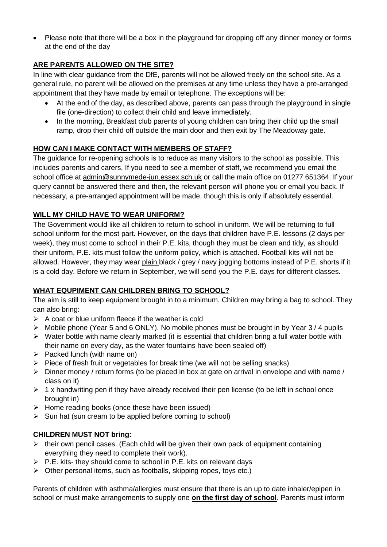Please note that there will be a box in the playground for dropping off any dinner money or forms at the end of the day

### **ARE PARENTS ALLOWED ON THE SITE?**

In line with clear guidance from the DfE, parents will not be allowed freely on the school site. As a general rule, no parent will be allowed on the premises at any time unless they have a pre-arranged appointment that they have made by email or telephone. The exceptions will be:

- At the end of the day, as described above, parents can pass through the playground in single file (one-direction) to collect their child and leave immediately.
- In the morning, Breakfast club parents of young children can bring their child up the small ramp, drop their child off outside the main door and then exit by The Meadoway gate.

### **HOW CAN I MAKE CONTACT WITH MEMBERS OF STAFF?**

The guidance for re-opening schools is to reduce as many visitors to the school as possible. This includes parents and carers. If you need to see a member of staff, we recommend you email the school office at [admin@sunnymede-jun.essex.sch.uk](mailto:admin@sunnymede-jun.essex.sch.uk) or call the main office on 01277 651364. If your query cannot be answered there and then, the relevant person will phone you or email you back. If necessary, a pre-arranged appointment will be made, though this is only if absolutely essential.

### **WILL MY CHILD HAVE TO WEAR UNIFORM?**

The Government would like all children to return to school in uniform. We will be returning to full school uniform for the most part. However, on the days that children have P.E. lessons (2 days per week), they must come to school in their P.E. kits, though they must be clean and tidy, as should their uniform. P.E. kits must follow the uniform policy, which is attached. Football kits will not be allowed. However, they may wear plain black / grey / navy jogging bottoms instead of P.E. shorts if it is a cold day. Before we return in September, we will send you the P.E. days for different classes.

### **WHAT EQUPIMENT CAN CHILDREN BRING TO SCHOOL?**

The aim is still to keep equipment brought in to a minimum. Children may bring a bag to school. They can also bring:

- $\triangleright$  A coat or blue uniform fleece if the weather is cold
- $\triangleright$  Mobile phone (Year 5 and 6 ONLY). No mobile phones must be brought in by Year 3/4 pupils
- $\triangleright$  Water bottle with name clearly marked (it is essential that children bring a full water bottle with their name on every day, as the water fountains have been sealed off)
- $\triangleright$  Packed lunch (with name on)
- $\triangleright$  Piece of fresh fruit or vegetables for break time (we will not be selling snacks)
- $\triangleright$  Dinner money / return forms (to be placed in box at gate on arrival in envelope and with name / class on it)
- $\geq 1$  x handwriting pen if they have already received their pen license (to be left in school once brought in)
- $\triangleright$  Home reading books (once these have been issued)
- $\triangleright$  Sun hat (sun cream to be applied before coming to school)

### **CHILDREN MUST NOT bring:**

- $\triangleright$  their own pencil cases. (Each child will be given their own pack of equipment containing everything they need to complete their work).
- $\triangleright$  P.E. kits- they should come to school in P.E. kits on relevant days
- $\triangleright$  Other personal items, such as footballs, skipping ropes, toys etc.)

Parents of children with asthma/allergies must ensure that there is an up to date inhaler/epipen in school or must make arrangements to supply one **on the first day of school**. Parents must inform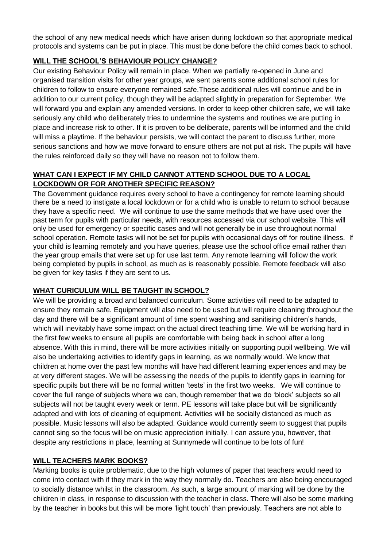the school of any new medical needs which have arisen during lockdown so that appropriate medical protocols and systems can be put in place. This must be done before the child comes back to school.

### **WILL THE SCHOOL'S BEHAVIOUR POLICY CHANGE?**

Our existing Behaviour Policy will remain in place. When we partially re-opened in June and organised transition visits for other year groups, we sent parents some additional school rules for children to follow to ensure everyone remained safe.These additional rules will continue and be in addition to our current policy, though they will be adapted slightly in preparation for September. We will forward you and explain any amended versions. In order to keep other children safe, we will take seriously any child who deliberately tries to undermine the systems and routines we are putting in place and increase risk to other. If it is proven to be deliberate, parents will be informed and the child will miss a playtime. If the behaviour persists, we will contact the parent to discuss further, more serious sanctions and how we move forward to ensure others are not put at risk. The pupils will have the rules reinforced daily so they will have no reason not to follow them.

## **WHAT CAN I EXPECT IF MY CHILD CANNOT ATTEND SCHOOL DUE TO A LOCAL LOCKDOWN OR FOR ANOTHER SPECIFIC REASON?**

The Government guidance requires every school to have a contingency for remote learning should there be a need to instigate a local lockdown or for a child who is unable to return to school because they have a specific need. We will continue to use the same methods that we have used over the past term for pupils with particular needs, with resources accessed via our school website. This will only be used for emergency or specific cases and will not generally be in use throughout normal school operation. Remote tasks will not be set for pupils with occasional days off for routine illness. If your child is learning remotely and you have queries, please use the school office email rather than the year group emails that were set up for use last term. Any remote learning will follow the work being completed by pupils in school, as much as is reasonably possible. Remote feedback will also be given for key tasks if they are sent to us.

## **WHAT CURICULUM WILL BE TAUGHT IN SCHOOL?**

We will be providing a broad and balanced curriculum. Some activities will need to be adapted to ensure they remain safe. Equipment will also need to be used but will require cleaning throughout the day and there will be a significant amount of time spent washing and sanitising children's hands, which will inevitably have some impact on the actual direct teaching time. We will be working hard in the first few weeks to ensure all pupils are comfortable with being back in school after a long absence. With this in mind, there will be more activities initially on supporting pupil wellbeing. We will also be undertaking activities to identify gaps in learning, as we normally would. We know that children at home over the past few months will have had different learning experiences and may be at very different stages. We will be assessing the needs of the pupils to identify gaps in learning for specific pupils but there will be no formal written 'tests' in the first two weeks. We will continue to cover the full range of subjects where we can, though remember that we do 'block' subjects so all subjects will not be taught every week or term. PE lessons will take place but will be significantly adapted and with lots of cleaning of equipment. Activities will be socially distanced as much as possible. Music lessons will also be adapted. Guidance would currently seem to suggest that pupils cannot sing so the focus will be on music appreciation initially. I can assure you, however, that despite any restrictions in place, learning at Sunnymede will continue to be lots of fun!

### **WILL TEACHERS MARK BOOKS?**

Marking books is quite problematic, due to the high volumes of paper that teachers would need to come into contact with if they mark in the way they normally do. Teachers are also being encouraged to socially distance whilst in the classroom. As such, a large amount of marking will be done by the children in class, in response to discussion with the teacher in class. There will also be some marking by the teacher in books but this will be more 'light touch' than previously. Teachers are not able to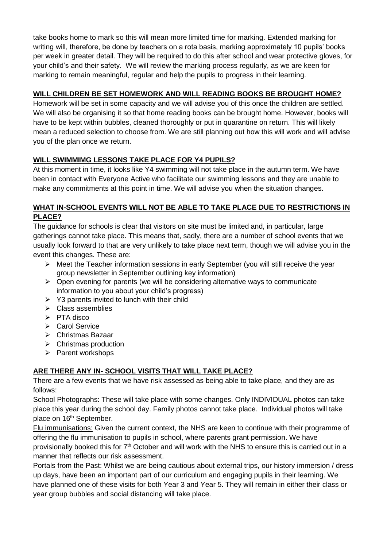take books home to mark so this will mean more limited time for marking. Extended marking for writing will, therefore, be done by teachers on a rota basis, marking approximately 10 pupils' books per week in greater detail. They will be required to do this after school and wear protective gloves, for your child's and their safety. We will review the marking process regularly, as we are keen for marking to remain meaningful, regular and help the pupils to progress in their learning.

# **WILL CHILDREN BE SET HOMEWORK AND WILL READING BOOKS BE BROUGHT HOME?**

Homework will be set in some capacity and we will advise you of this once the children are settled. We will also be organising it so that home reading books can be brought home. However, books will have to be kept within bubbles, cleaned thoroughly or put in quarantine on return. This will likely mean a reduced selection to choose from. We are still planning out how this will work and will advise you of the plan once we return.

## **WILL SWIMMIMG LESSONS TAKE PLACE FOR Y4 PUPILS?**

At this moment in time, it looks like Y4 swimming will not take place in the autumn term. We have been in contact with Everyone Active who facilitate our swimming lessons and they are unable to make any commitments at this point in time. We will advise you when the situation changes.

### **WHAT IN-SCHOOL EVENTS WILL NOT BE ABLE TO TAKE PLACE DUE TO RESTRICTIONS IN PLACE?**

The guidance for schools is clear that visitors on site must be limited and, in particular, large gatherings cannot take place. This means that, sadly, there are a number of school events that we usually look forward to that are very unlikely to take place next term, though we will advise you in the event this changes. These are:

- $\triangleright$  Meet the Teacher information sessions in early September (you will still receive the year group newsletter in September outlining key information)
- $\triangleright$  Open evening for parents (we will be considering alternative ways to communicate information to you about your child's progress)
- $\triangleright$  Y3 parents invited to lunch with their child
- $\triangleright$  Class assemblies
- $\triangleright$  PTA disco
- ▶ Carol Service
- Christmas Bazaar
- $\triangleright$  Christmas production
- $\triangleright$  Parent workshops

## **ARE THERE ANY IN- SCHOOL VISITS THAT WILL TAKE PLACE?**

There are a few events that we have risk assessed as being able to take place, and they are as follows:

School Photographs: These will take place with some changes. Only INDIVIDUAL photos can take place this year during the school day. Family photos cannot take place. Individual photos will take place on 16<sup>th</sup> September.

Flu immunisations: Given the current context, the NHS are keen to continue with their programme of offering the flu immunisation to pupils in school, where parents grant permission. We have provisionally booked this for 7<sup>th</sup> October and will work with the NHS to ensure this is carried out in a manner that reflects our risk assessment.

Portals from the Past: Whilst we are being cautious about external trips, our history immersion / dress up days, have been an important part of our curriculum and engaging pupils in their learning. We have planned one of these visits for both Year 3 and Year 5. They will remain in either their class or year group bubbles and social distancing will take place.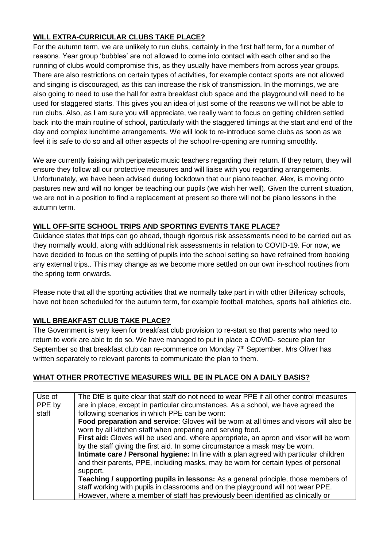## **WILL EXTRA-CURRICULAR CLUBS TAKE PLACE?**

For the autumn term, we are unlikely to run clubs, certainly in the first half term, for a number of reasons. Year group 'bubbles' are not allowed to come into contact with each other and so the running of clubs would compromise this, as they usually have members from across year groups. There are also restrictions on certain types of activities, for example contact sports are not allowed and singing is discouraged, as this can increase the risk of transmission. In the mornings, we are also going to need to use the hall for extra breakfast club space and the playground will need to be used for staggered starts. This gives you an idea of just some of the reasons we will not be able to run clubs. Also, as I am sure you will appreciate, we really want to focus on getting children settled back into the main routine of school, particularly with the staggered timings at the start and end of the day and complex lunchtime arrangements. We will look to re-introduce some clubs as soon as we feel it is safe to do so and all other aspects of the school re-opening are running smoothly.

We are currently liaising with peripatetic music teachers regarding their return. If they return, they will ensure they follow all our protective measures and will liaise with you regarding arrangements. Unfortunately, we have been advised during lockdown that our piano teacher, Alex, is moving onto pastures new and will no longer be teaching our pupils (we wish her well). Given the current situation, we are not in a position to find a replacement at present so there will not be piano lessons in the autumn term.

### **WILL OFF-SITE SCHOOL TRIPS AND SPORTING EVENTS TAKE PLACE?**

Guidance states that trips can go ahead, though rigorous risk assessments need to be carried out as they normally would, along with additional risk assessments in relation to COVID-19. For now, we have decided to focus on the settling of pupils into the school setting so have refrained from booking any external trips.. This may change as we become more settled on our own in-school routines from the spring term onwards.

Please note that all the sporting activities that we normally take part in with other Billericay schools, have not been scheduled for the autumn term, for example football matches, sports hall athletics etc.

### **WILL BREAKFAST CLUB TAKE PLACE?**

The Government is very keen for breakfast club provision to re-start so that parents who need to return to work are able to do so. We have managed to put in place a COVID- secure plan for September so that breakfast club can re-commence on Monday 7<sup>th</sup> September. Mrs Oliver has written separately to relevant parents to communicate the plan to them.

### **WHAT OTHER PROTECTIVE MEASURES WILL BE IN PLACE ON A DAILY BASIS?**

| Use of | The DfE is quite clear that staff do not need to wear PPE if all other control measures |
|--------|-----------------------------------------------------------------------------------------|
| PPE by | are in place, except in particular circumstances. As a school, we have agreed the       |
| staff  | following scenarios in which PPE can be worn:                                           |
|        | Food preparation and service: Gloves will be worn at all times and visors will also be  |
|        | worn by all kitchen staff when preparing and serving food.                              |
|        | First aid: Gloves will be used and, where appropriate, an apron and visor will be worn  |
|        | by the staff giving the first aid. In some circumstance a mask may be worn.             |
|        | Intimate care / Personal hygiene: In line with a plan agreed with particular children   |
|        | and their parents, PPE, including masks, may be worn for certain types of personal      |
|        | support.                                                                                |
|        | Teaching / supporting pupils in lessons: As a general principle, those members of       |
|        | staff working with pupils in classrooms and on the playground will not wear PPE.        |
|        | However, where a member of staff has previously been identified as clinically or        |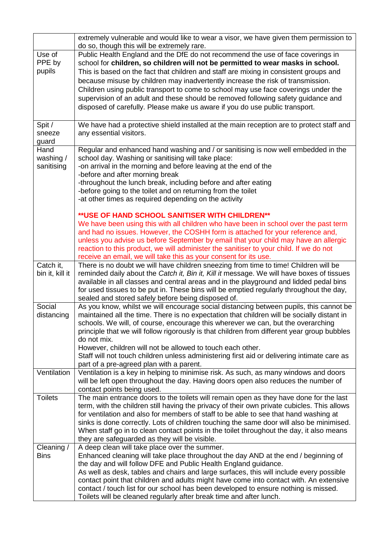|                  | extremely vulnerable and would like to wear a visor, we have given them permission to<br>do so, though this will be extremely rare.                                |
|------------------|--------------------------------------------------------------------------------------------------------------------------------------------------------------------|
| Use of<br>PPE by | Public Health England and the DfE do not recommend the use of face coverings in<br>school for children, so children will not be permitted to wear masks in school. |
| pupils           | This is based on the fact that children and staff are mixing in consistent groups and                                                                              |
|                  | because misuse by children may inadvertently increase the risk of transmission.                                                                                    |
|                  | Children using public transport to come to school may use face coverings under the                                                                                 |
|                  | supervision of an adult and these should be removed following safety guidance and                                                                                  |
|                  | disposed of carefully. Please make us aware if you do use public transport.                                                                                        |
|                  |                                                                                                                                                                    |
| Spit /           | We have had a protective shield installed at the main reception are to protect staff and                                                                           |
| sneeze           | any essential visitors.                                                                                                                                            |
| guard            |                                                                                                                                                                    |
| Hand             | Regular and enhanced hand washing and / or sanitising is now well embedded in the                                                                                  |
| washing /        | school day. Washing or sanitising will take place:                                                                                                                 |
| sanitising       | -on arrival in the morning and before leaving at the end of the                                                                                                    |
|                  | -before and after morning break                                                                                                                                    |
|                  | -throughout the lunch break, including before and after eating                                                                                                     |
|                  | -before going to the toilet and on returning from the toilet                                                                                                       |
|                  | -at other times as required depending on the activity                                                                                                              |
|                  | ** USE OF HAND SCHOOL SANITISER WITH CHILDREN**                                                                                                                    |
|                  | We have been using this with all children who have been in school over the past term                                                                               |
|                  | and had no issues. However, the COSHH form is attached for your reference and,                                                                                     |
|                  | unless you advise us before September by email that your child may have an allergic                                                                                |
|                  | reaction to this product, we will administer the sanitiser to your child. If we do not                                                                             |
|                  | receive an email, we will take this as your consent for its use.                                                                                                   |
| Catch it,        | There is no doubt we will have children sneezing from time to time! Children will be                                                                               |
| bin it, kill it  | reminded daily about the Catch it, Bin it, Kill it message. We will have boxes of tissues                                                                          |
|                  | available in all classes and central areas and in the playground and lidded pedal bins                                                                             |
|                  | for used tissues to be put in. These bins will be emptied regularly throughout the day,                                                                            |
|                  | sealed and stored safely before being disposed of.                                                                                                                 |
| Social           | As you know, whilst we will encourage social distancing between pupils, this cannot be                                                                             |
| distancing       | maintained all the time. There is no expectation that children will be socially distant in                                                                         |
|                  | schools. We will, of course, encourage this wherever we can, but the overarching                                                                                   |
|                  | principle that we will follow rigorously is that children from different year group bubbles                                                                        |
|                  | do not mix.                                                                                                                                                        |
|                  | However, children will not be allowed to touch each other.                                                                                                         |
|                  | Staff will not touch children unless administering first aid or delivering intimate care as<br>part of a pre-agreed plan with a parent.                            |
| Ventilation      | Ventilation is a key in helping to minimise risk. As such, as many windows and doors                                                                               |
|                  | will be left open throughout the day. Having doors open also reduces the number of                                                                                 |
|                  | contact points being used.                                                                                                                                         |
| <b>Toilets</b>   | The main entrance doors to the toilets will remain open as they have done for the last                                                                             |
|                  | term, with the children still having the privacy of their own private cubicles. This allows                                                                        |
|                  | for ventilation and also for members of staff to be able to see that hand washing at                                                                               |
|                  | sinks is done correctly. Lots of children touching the same door will also be minimised.                                                                           |
|                  | When staff go in to clean contact points in the toilet throughout the day, it also means                                                                           |
|                  | they are safeguarded as they will be visible.                                                                                                                      |
| Cleaning /       | A deep clean will take place over the summer.                                                                                                                      |
| <b>Bins</b>      | Enhanced cleaning will take place throughout the day AND at the end / beginning of                                                                                 |
|                  | the day and will follow DFE and Public Health England guidance.                                                                                                    |
|                  | As well as desk, tables and chairs and large surfaces, this will include every possible                                                                            |
|                  | contact point that children and adults might have come into contact with. An extensive                                                                             |
|                  | contact / touch list for our school has been developed to ensure nothing is missed.                                                                                |
|                  | Toilets will be cleaned regularly after break time and after lunch.                                                                                                |